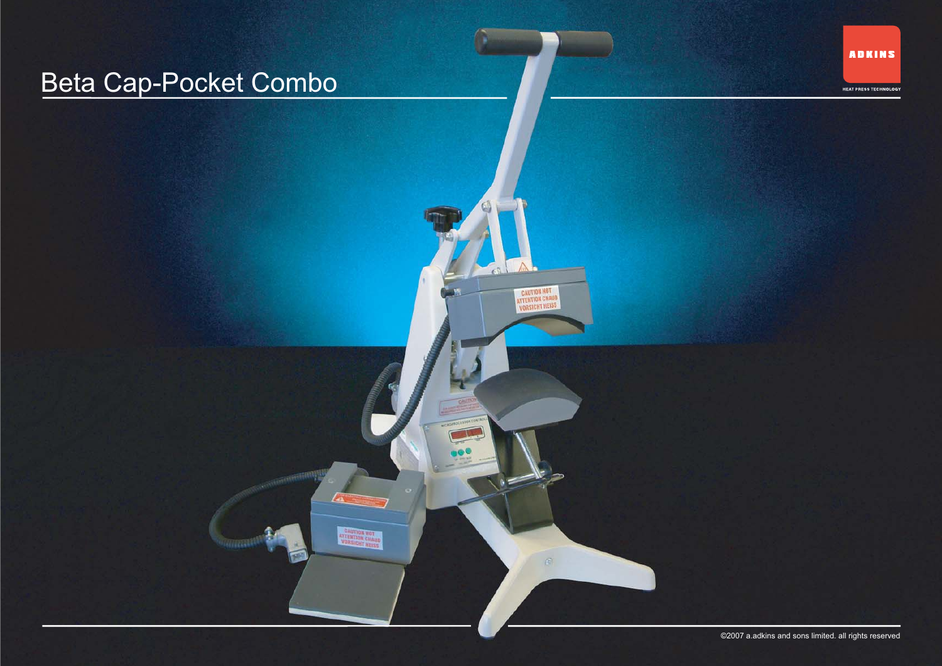## Beta Cap-Pocket Combo

**ADKINS** 

HEAT PRESS TECHNOLOGY

©2007 a.adkins and sons limited. all rights reserved

**CAUTION HOT**<br>ATTENTION CHAUD<br>VORSICHT HEISS

**CAUTION HOT**<br>ATTENTION CHAUD<br>VORSICHT HERE